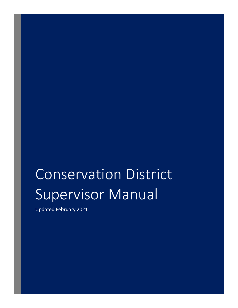# Conservation District Supervisor Manual

Updated February 2021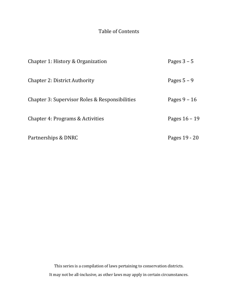# Table of Contents

| Chapter 1: History & Organization              | Pages $3 - 5$   |
|------------------------------------------------|-----------------|
| <b>Chapter 2: District Authority</b>           | Pages $5 - 9$   |
| Chapter 3: Supervisor Roles & Responsibilities | Pages $9 - 16$  |
| Chapter 4: Programs & Activities               | Pages $16 - 19$ |
| Partnerships & DNRC                            | Pages 19 - 20   |

This series is a compilation of laws pertaining to conservation districts. It may not be all-inclusive, as other laws may apply in certain circumstances.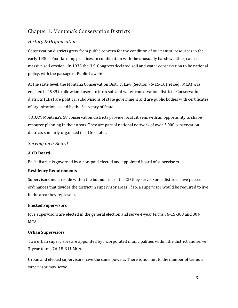# Chapter 1: Montana's Conservation Districts

## *History & Organization*

Conservation districts grew from public concern for the condition of our natural resources in the early 1930s. Poor farming practices, in combination with the unusually harsh weather, caused massive soil erosion. In 1935 the U.S. Congress declared soil and water conservation to be national policy, with the passage of Public Law 46.

At the state level, the Montana Conservation District Law (Section 76-15-101 et seq., MCA) was enacted in 1939 to allow land users to form soil and water conservation districts. Conservation districts (CDs) are political subdivisions of state government and are public bodies with certificates of organization issued by the Secretary of State.

TODAY, Montana's 58 conservation districts provide local citizens with an opportunity to shape resource planning in their areas. They are part of national network of over 3,000 conservation districts similarly organized in all 50 states.

## *Serving on a Board*

## **A CD Board**

Each district is governed by a non-paid elected and appointed board of supervisors.

## **Residency Requirements**

Supervisors must reside within the boundaries of the CD they serve. Some districts have passed ordinances that divides the district in supervisor areas. If so, a supervisor would be required to live in the area they represent.

## **Elected Supervisors**

Five supervisors are elected in the general election and serve 4-year terms 76-15-303 and 304 MCA.

## **Urban Supervisors**

Two urban supervisors are appointed by incorporated municipalities within the district and serve 3-year terms 76-15-311 MCA.

Urban and elected supervisors have the same powers. There is no limit to the number of terms a supervisor may serve.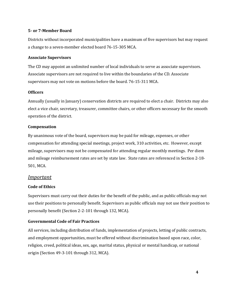#### **5- or 7-Member Board**

Districts without incorporated municipalities have a maximum of five supervisors but may request a change to a seven-member elected board 76-15-305 MCA.

#### **Associate Supervisors**

The CD may appoint an unlimited number of local individuals to serve as associate supervisors. Associate supervisors are not required to live within the boundaries of the CD. Associate supervisors may not vote on motions before the board. 76-15-311 MCA.

#### **Officers**

Annually (usually in January) conservation districts are required to elect a chair. Districts may also elect a vice chair, secretary, treasurer, committee chairs, or other officers necessary for the smooth operation of the district.

#### **Compensation**

By unanimous vote of the board, supervisors may be paid for mileage, expenses, or other compensation for attending special meetings, project work, 310 activities, etc. However, except mileage, supervisors may not be compensated for attending regular monthly meetings. Per diem and mileage reimbursement rates are set by state law. State rates are referenced in Section 2-18- 501, MCA.

## *Important*

#### **Code of Ethics**

Supervisors must carry out their duties for the benefit of the public, and as public officials may not use their positions to personally benefit. Supervisors as public officials may not use their position to personally benefit (Section 2-2-101 through 132, MCA).

#### **Governmental Code of Fair Practices**

All services, including distribution of funds, implementation of projects, letting of public contracts, and employment opportunities, must be offered without discrimination based upon race, color, religion, creed, political ideas, sex, age, marital status, physical or mental handicap, or national origin (Section 49-3-101 through 312, MCA).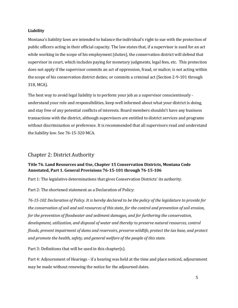#### **Liability**

Montana's liability laws are intended to balance the individual's right to sue with the protection of public officers acting in their official capacity. The law states that, if a supervisor is sued for an act while working in the scope of his employment (duties), the conservation district will defend that supervisor in court, which includes paying for monetary judgments, legal fees, etc. This protection does not apply if the supervisor commits an act of oppression, fraud, or malice; is not acting within the scope of his conservation district duties; or commits a criminal act (Section 2-9-101 through 318, MCA).

The best way to avoid legal liability is to perform your job as a supervisor conscientiously understand your role and responsibilities, keep well informed about what your district is doing, and stay free of any potential conflicts of interests. Board members shouldn't have any business transactions with the district, although supervisors are entitled to district services and programs without discrimination or preference. It is recommended that all supervisors read and understand the liability law. See 76-15-320 MCA.

## Chapter 2: District Authority

## **Title 76. Land Resources and Use, Chapter 15 Conservation Districts, Montana Code Annotated, Part 1. General Provisions 76-15-101 through 76-15-106**

Part 1: The legislative determinations that gives Conservation Districts' its authority.

Part 2: The shortened statement as a Declaration of Policy:

*76-15-102 Declaration of Policy. It is hereby declared to be the policy of the legislature to provide for the conservation of soil and soil resources of this state, for the control and prevention of soil erosion, for the prevention of floodwater and sediment damages, and for furthering the conservation, development, utilization, and disposal of water and thereby to preserve natural resources, control floods, prevent impairment of dams and reservoirs, preserve wildlife, protect the tax base, and protect and promote the health, safety, and general welfare of the people of this state.*

Part 3: Definitions that will be used in this chapter(s).

Part 4: Adjournment of Hearings - if a hearing was held at the time and place noticed, adjournment may be made without renewing the notice for the adjourned dates.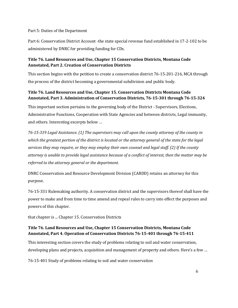Part 5: Duties of the Department

Part 6: Conservation District Account -the state special revenue fund established in 17-2-102 to be administered by DNRC for providing funding for CDs.

## **Title 76. Land Resources and Use, Chapter 15 Conservation Districts, Montana Code Annotated, Part 2. Creation of Conservation Districts**

This section begins with the petition to create a conservation district 76-15-201-216, MCA through the process of the district becoming a governmental subdivision and public body.

## **Title 76. Land Resources and Use, Chapter 15. Conservation Districts Montana Code Annotated, Part 3. Administration of Conservation Districts, 76-15-301 through 76-15-324**

This important section pertains to the governing body of the District - Supervisors, Elections, Administrative Functions, Cooperation with State Agencies and between districts, Legal immunity, and others. Interesting excerpts below …

*76-15-319 Legal Assistance. (1) The supervisors may call upon the county attorney of the county in which the greatest portion of the district is located or the attorney general of the state for the legal services they may require, or they may employ their own counsel and legal staff. (2) If the county attorney is unable to provide legal assistance because of a conflict of interest, then the matter may be referred to the attorney general or the department.*

DNRC Conservation and Resource Development Division (CARDD) retains an attorney for this purpose.

76-15-331 Rulemaking authority. A conservation district and the supervisors thereof shall have the power to make and from time to time amend and repeal rules to carry into effect the purposes and powers of this chapter.

that chapter is ... Chapter 15. Conservation Districts

## **Title 76. Land Resources and Use, Chapter 15 Conservation Districts, Montana Code Annotated, Part 4. Operation of Conservation Districts 76-15-401 through 76-15-411**

This interesting section covers the study of problems relating to soil and water conservation, developing plans and projects, acquisition and management of property and others. Here's a few …

76-15-401 Study of problems relating to soil and water conservation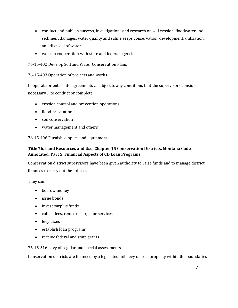- conduct and publish surveys, investigations and research on soil erosion, floodwater and sediment damages, water quality and saline seeps conservation, development, utilization, and disposal of water
- work in cooperation with state and federal agencies
- 76-15-402 Develop Soil and Water Conservation Plans
- 76-15-403 Operation of projects and works

Cooperate or enter into agreements ... subject to any conditions that the supervisors consider necessary ... to conduct or complete:

- erosion control and prevention operations
- flood prevention
- soil conservation
- water management and others

76-15-406 Furnish supplies and equipment

## **Title 76. Land Resources and Use, Chapter 15 Conservation Districts, Montana Code Annotated, Part 5. Financial Aspects of CD Loan Programs**

Conservation district supervisors have been given authority to raise funds and to manage district finances to carry out their duties.

They can:

- borrow money
- issue bonds
- invest surplus funds
- collect fees, rent, or charge for services
- levy taxes
- establish loan programs
- receive federal and state grants

## 76-15-516 Levy of regular and special assessments

Conservation districts are financed by a legislated mill levy on real property within the boundaries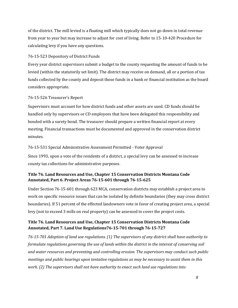of the district. The mill levied is a floating mill which typically does not go down in total revenue from year to year but may increase to adjust for cost of living. Refer to 15-10-420 Procedure for calculating levy if you have any questions.

#### 76-15-523 Depository of District Funds

Every year district supervisors submit a budget to the county requesting the amount of funds to be levied (within the statutorily set limit). The district may receive on demand, all or a portion of tax funds collected by the county and deposit those funds in a bank or financial institution as the board considers appropriate.

#### 76-15-526 Treasurer's Report

Supervisors must account for how district funds and other assets are used. CD funds should be handled only by supervisors or CD employees that have been delegated this responsibility and bonded with a surety bond. The treasurer should prepare a written financial report at every meeting. Financial transactions must be documented and approved in the conservation district minutes.

#### 76-15-531 Special Administrative Assessment Permitted - Voter Approval

Since 1993, upon a vote of the residents of a district, a special levy can be assessed to increase county tax collections for administrative purposes.

## **Title 76. Land Resources and Use, Chapter 15 Conservation Districts Montana Code Annotated, Part 6. Project Areas 76-15-601 through 76-15-625**

Under Section 76-15-601 through 623 MCA, conservation districts may establish a project area to work on specific resource issues that can be isolated by definite boundaries (they may cross district boundaries). If 51 percent of the effected landowners vote in favor of creating project area, a special levy (not to exceed 3 mills on real property) can be assessed to cover the project costs.

## **Title 76. Land Resources and Use, Chapter 15 Conservation Districts Montana Code Annotated, Part 7. Land Use Regulations76-15-701 through 76-15-727**

*76-15-701 Adoption of land use regulations. (1) The supervisors of any district shall have authority to formulate regulations governing the use of lands within the district in the interest of conserving soil and water resources and preventing and controlling erosion. The supervisors may conduct such public meetings and public hearings upon tentative regulations as may be necessary to assist them in this work. (2) The supervisors shall not have authority to enact such land use regulations into*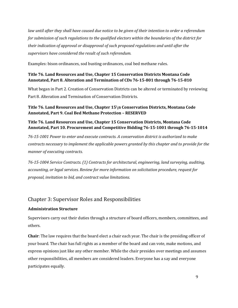*law until after they shall have caused due notice to be given of their intention to order a referendum for submission of such regulations to the qualified electors within the boundaries of the district for their indication of approval or disapproval of such proposed regulations and until after the supervisors have considered the result of such referendum.*

Examples: bison ordinances, sod busting ordinances, coal bed methane rules.

## **Title 76. Land Resources and Use, Chapter 15 Conservation Districts Montana Code Annotated, Part 8. Alteration and Termination of CDs 76-15-801 through 76-15-810**

What began in Part 2. Creation of Conservation Districts can be altered or terminated by reviewing Part 8. Alteration and Termination of Conservation Districts.

## **Title 76. Land Resources and Use, Chapter 15\n Conservation Districts, Montana Code Annotated, Part 9. Coal Bed Methane Protection – RESERVED**

## **Title 76. Land Resources and Use, Chapter 15 Conservation Districts, Montana Code Annotated, Part 10. Procurement and Competitive Bidding 76-15-1001 through 76-15-1014**

*76-15-1001 Power to enter and execute contracts. A conservation district is authorized to make contracts necessary to implement the applicable powers granted by this chapter and to provide for the manner of executing contracts.* 

*76-15-1004 Service Contracts. (1) Contracts for architectural, engineering, land surveying, auditing, accounting, or legal services. Review for more information on solicitation procedure, request for proposal, invitation to bid, and contract value limitations.* 

# Chapter 3: Supervisor Roles and Responsibilities

## **Administration Structure**

Supervisors carry out their duties through a structure of board officers, members, committees, and others.

**Chair**: The law requires that the board elect a chair each year. The chair is the presiding officer of your board. The chair has full rights as a member of the board and can vote, make motions, and express opinions just like any other member. While the chair presides over meetings and assumes other responsibilities, all members are considered leaders. Everyone has a say and everyone participates equally.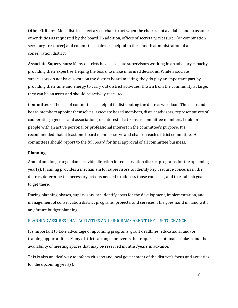**Other Officers**: Most districts elect a vice-chair to act when the chair is not available and to assume other duties as requested by the board. In addition, offices of secretary, treasurer (or combination secretary-treasurer) and committee chairs are helpful to the smooth administration of a conservation district.

**Associate Supervisors**: Many districts have associate supervisors working in an advisory capacity, providing their expertise, helping the board to make informed decisions. While associate supervisors do not have a vote on the district board meeting, they do play an important part by providing their time and energy to carry out district activities. Drawn from the community at large, they can be an asset and should be actively recruited.

**Committees**: The use of committees is helpful in distributing the district workload. The chair and board members appoint themselves, associate board members, district advisors, representatives of cooperating agencies and associations, or interested citizens as committee members. Look for people with an active personal or professional interest in the committee's purpose. It's recommended that at least one board member serve and chair on each district committee. All committees should report to the full board for final approval of all committee business.

#### **Planning**

Annual and long-range plans provide direction for conservation district programs for the upcoming year(s). Planning provides a mechanism for supervisors to identify key resource concerns in the district, determine the necessary actions needed to address those concerns, and to establish goals to get there.

During planning phases, supervisors can identify costs for the development, implementation, and management of conservation district programs, projects, and services. This goes hand in hand with any future budget planning.

#### PLANNING ASSURES THAT ACTIVITIES AND PROGRAMS AREN'T LEFT UP TO CHANCE.

It's important to take advantage of upcoming programs, grant deadlines, educational and/or training opportunities. Many districts arrange for events that require exceptional speakers and the availability of meeting spaces that may be reserved months/years in advance.

This is also an ideal way to inform citizens and local government of the district's focus and activities for the upcoming year(s).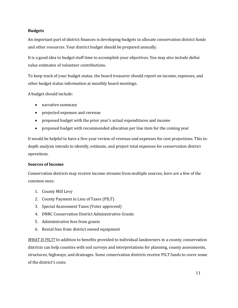#### **Budgets**

An important part of district finances is developing budgets to allocate conservation district funds and other resources. Your district budget should be prepared annually.

It is a good idea to budget staff time to accomplish your objectives. You may also include dollar value estimates of volunteer contributions.

To keep track of your budget status, the board treasurer should report on income, expenses, and other budget status information at monthly board meetings.

A budget should include:

- narrative summary
- projected expenses and revenue
- proposed budget with the prior year's actual expenditures and income
- proposed budget with recommended allocation per line item for the coming year

It would be helpful to have a five-year review of revenue and expenses for cost projections. This indepth analysis intends to identify, estimate, and project total expenses for conservation district operations.

#### **Sources of Income**

Conservation districts may receive income streams from multiple sources, here are a few of the common ones:

- 1. County Mill Levy
- 2. County Payment in Lieu of Taxes (PILT)
- 3. Special Assessment Taxes (Voter approved)
- 4. DNRC Conservation District Administrative Grants
- 5. Administrative fees from grants
- 6. Rental fees from district owned equipment

*WHAT IS PILT?* In addition to benefits provided to individual landowners in a county, conservation districts can help counties with soil surveys and interpretations for planning, county assessments, structures, highways, and drainages. Some conservation districts receive PILT funds to cover some of the district's costs.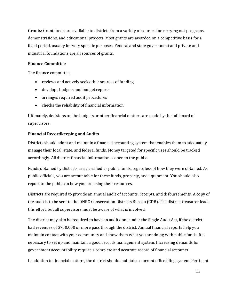**Grants**: Grant funds are available to districts from a variety of sources for carrying out programs, demonstrations, and educational projects. Most grants are awarded on a competitive basis for a fixed period, usually for very specific purposes. Federal and state government and private and industrial foundations are all sources of grants.

## **Finance Committee**

The finance committee:

- reviews and actively seek other sources of funding
- develops budgets and budget reports
- arranges required audit procedures
- checks the reliability of financial information

Ultimately, decisions on the budgets or other financial matters are made by the full board of supervisors.

## **Financial Recordkeeping and Audits**

Districts should adopt and maintain a financial accounting system that enables them to adequately manage their local, state, and federal funds. Money targeted for specific uses should be tracked accordingly. All district financial information is open to the public.

Funds obtained by districts are classified as public funds, regardless of how they were obtained. As public officials, you are accountable for these funds, property, and equipment. You should also report to the public on how you are using their resources.

Districts are required to provide an annual audit of accounts, receipts, and disbursements. A copy of the audit is to be sent to the DNRC Conservation Districts Bureau (CDB). The district treasurer leads this effort, but all supervisors must be aware of what is involved.

The district may also be required to have an audit done under the Single Audit Act, if the district had revenues of \$750,000 or more pass through the district. Annual financial reports help you maintain contact with your community and show them what you are doing with public funds. It is necessary to set up and maintain a good records management system. Increasing demands for government accountability require a complete and accurate record of financial accounts.

In addition to financial matters, the district should maintain a current office filing system. Pertinent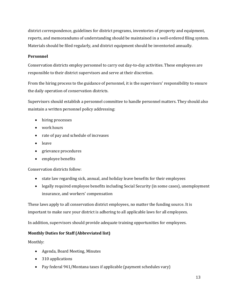district correspondence, guidelines for district programs, inventories of property and equipment, reports, and memorandums of understanding should be maintained in a well-ordered filing system. Materials should be filed regularly, and district equipment should be inventoried annually.

#### **Personnel**

Conservation districts employ personnel to carry out day-to-day activities. These employees are responsible to their district supervisors and serve at their discretion.

From the hiring process to the guidance of personnel, it is the supervisors' responsibility to ensure the daily operation of conservation districts.

Supervisors should establish a personnel committee to handle personnel matters. They should also maintain a written personnel policy addressing:

- hiring processes
- work hours
- rate of pay and schedule of increases
- leave
- grievance procedures
- employee benefits

Conservation districts follow:

- state law regarding sick, annual, and holiday leave benefits for their employees
- legally required employee benefits including Social Security (in some cases), unemployment insurance, and workers' compensation

These laws apply to all conservation district employees, no matter the funding source. It is important to make sure your district is adhering to all applicable laws for all employees.

In addition, supervisors should provide adequate training opportunities for employees.

## **Monthly Duties for Staff (Abbreviated list)**

Monthly:

- Agenda, Board Meeting, Minutes
- 310 applications
- Pay federal 941/Montana taxes if applicable (payment schedules vary)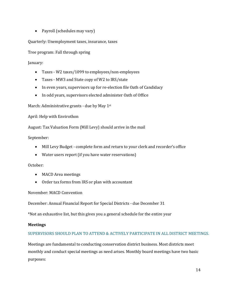• Payroll (schedules may vary)

Quarterly: Unemployment taxes, insurance, taxes

Tree program: Fall through spring

January:

- Taxes W2 taxes/1099 to employees/non-employees
- Taxes MW3 and State copy of W2 to IRS/state
- In even years, supervisors up for re-election file Oath of Candidacy
- In odd years, supervisors elected administer Oath of Office

March: Administrative grants - due by May 1st

April: Help with Envirothon

August: Tax Valuation Form (Mill Levy) should arrive in the mail

September:

- Mill Levy Budget complete form and return to your clerk and recorder's office
- Water users report (if you have water reservations)

October:

- MACD Area meetings
- Order tax forms from IRS or plan with accountant

November: MACD Convention

December: Annual Financial Report for Special Districts - due December 31

\*Not an exhaustive list, but this gives you a general schedule for the entire year

## **Meetings**

## SUPERVISORS SHOULD PLAN TO ATTEND & ACTIVELY PARTICIPATE IN ALL DISTRICT MEETINGS.

Meetings are fundamental to conducting conservation district business. Most districts meet monthly and conduct special meetings as need arises. Monthly board meetings have two basic purposes: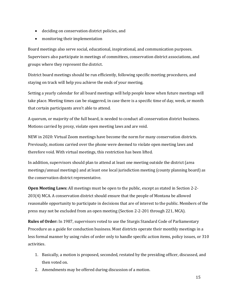- deciding on conservation district policies, and
- monitoring their implementation

Board meetings also serve social, educational, inspirational, and communication purposes. Supervisors also participate in meetings of committees, conservation district associations, and groups where they represent the district.

District board meetings should be run efficiently, following specific meeting procedures, and staying on track will help you achieve the ends of your meeting.

Setting a yearly calendar for all board meetings will help people know when future meetings will take place. Meeting times can be staggered, in case there is a specific time of day, week, or month that certain participants aren't able to attend.

A quorum, or majority of the full board, is needed to conduct all conservation district business. Motions carried by proxy, violate open meeting laws and are void.

NEW in 2020: Virtual Zoom meetings have become the norm for many conservation districts. Previously, motions carried over the phone were deemed to violate open meeting laws and therefore void. With virtual meetings, this restriction has been lifted.

In addition, supervisors should plan to attend at least one meeting outside the district (area meetings/annual meetings) and at least one local jurisdiction meeting (county planning board) as the conservation district representative.

**Open Meeting Laws:** All meetings must be open to the public, except as stated in Section 2-2- 203(4) MCA. A conservation district should ensure that the people of Montana be allowed reasonable opportunity to participate in decisions that are of interest to the public. Members of the press may not be excluded from an open meeting (Section 2-2-201 through 221, MCA).

**Rules of Order:** In 1987, supervisors voted to use the Sturgis Standard Code of Parliamentary Procedure as a guide for conduction business. Most districts operate their monthly meetings in a less formal manner by using rules of order only to handle specific action items, policy issues, or 310 activities.

- 1. Basically, a motion is proposed, seconded, restated by the presiding officer, discussed, and then voted on.
- 2. Amendments may be offered during discussion of a motion.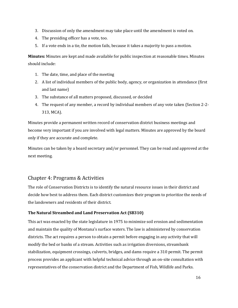- 3. Discussion of only the amendment may take place until the amendment is voted on.
- 4. The presiding officer has a vote, too.
- 5. If a vote ends in a tie, the motion fails, because it takes a majority to pass a motion.

**Minutes:** Minutes are kept and made available for public inspection at reasonable times. Minutes should include:

- 1. The date, time, and place of the meeting
- 2. A list of individual members of the public body, agency, or organization in attendance (first and last name)
- 3. The substance of all matters proposed, discussed, or decided
- 4. The request of any member, a record by individual members of any vote taken (Section 2-2- 313, MCA).

Minutes provide a permanent written record of conservation district business meetings and become very important if you are involved with legal matters. Minutes are approved by the board only if they are accurate and complete.

Minutes can be taken by a board secretary and/or personnel. They can be read and approved at the next meeting.

# Chapter 4: Programs & Activities

The role of Conservation Districts is to identify the natural resource issues in their district and decide how best to address them. Each district customizes their program to prioritize the needs of the landowners and residents of their district.

## **The Natural Streambed and Land Preservation Act (SB310)**

This act was enacted by the state legislature in 1975 to minimize soil erosion and sedimentation and maintain the quality of Montana's surface waters. The law is administered by conservation districts. The act requires a person to obtain a permit before engaging in any activity that will modify the bed or banks of a stream. Activities such as irrigation diversions, streambank stabilization, equipment crossings, culverts, bridges, and dams require a 310 permit. The permit process provides an applicant with helpful technical advice through an on-site consultation with representatives of the conservation district and the Department of Fish, Wildlife and Parks.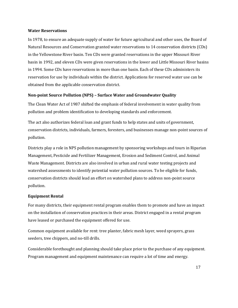#### **Water Reservations**

In 1978, to ensure an adequate supply of water for future agricultural and other uses, the Board of Natural Resources and Conservation granted water reservations to 14 conservation districts (CDs) in the Yellowstone River basin. Ten CDs were granted reservations in the upper Missouri River basin in 1992, and eleven CDs were given reservations in the lower and Little Missouri River basins in 1994. Some CDs have reservations in more than one basin. Each of these CDs administers its reservation for use by individuals within the district. Applications for reserved water use can be obtained from the applicable conservation district.

#### **Non-point Source Pollution (NPS) – Surface Water and Groundwater Quality**

The Clean Water Act of 1987 shifted the emphasis of federal involvement in water quality from pollution and problem identification to developing standards and enforcement.

The act also authorizes federal loan and grant funds to help states and units of government, conservation districts, individuals, farmers, foresters, and businesses manage non-point sources of pollution.

Districts play a role in NPS pollution management by sponsoring workshops and tours in Riparian Management, Pesticide and Fertilizer Management, Erosion and Sediment Control, and Animal Waste Management. Districts are also involved in urban and rural water testing projects and watershed assessments to identify potential water pollution sources. To be eligible for funds, conservation districts should lead an effort on watershed plans to address non-point source pollution.

#### **Equipment Rental**

For many districts, their equipment rental program enables them to promote and have an impact on the installation of conservation practices in their areas. District engaged in a rental program have leased or purchased the equipment offered for use.

Common equipment available for rent: tree planter, fabric mesh layer, weed sprayers, grass seeders, tree chippers, and no-till drills.

Considerable forethought and planning should take place prior to the purchase of any equipment. Program management and equipment maintenance can require a lot of time and energy.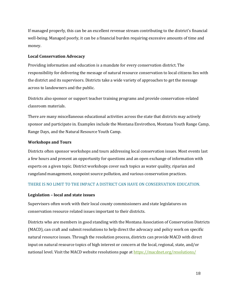If managed properly, this can be an excellent revenue stream contributing to the district's financial well-being. Managed poorly, it can be a financial burden requiring excessive amounts of time and money.

#### **Local Conservation Advocacy**

Providing information and education is a mandate for every conservation district. The responsibility for delivering the message of natural resource conservation to local citizens lies with the district and its supervisors. Districts take a wide variety of approaches to get the message across to landowners and the public.

Districts also sponsor or support teacher training programs and provide conservation-related classroom materials.

There are many miscellaneous educational activities across the state that districts may actively sponsor and participate in. Examples include the Montana Envirothon, Montana Youth Range Camp, Range Days, and the Natural Resource Youth Camp.

#### **Workshops and Tours**

Districts often sponsor workshops and tours addressing local conservation issues. Most events last a few hours and present an opportunity for questions and an open exchange of information with experts on a given topic. District workshops cover such topics as water quality, riparian and rangeland management, nonpoint source pollution, and various conservation practices.

## THERE IS NO LIMIT TO THE IMPACT A DISTRICT CAN HAVE ON CONSERVATION EDUCATION.

#### **Legislation – local and state issues**

Supervisors often work with their local county commissioners and state legislatures on conservation resource related issues important to their districts.

Districts who are members in good standing with the Montana Association of Conservation Districts (MACD), can craft and submit resolutions to help direct the advocacy and policy work on specific natural resource issues. Through the resolution process, districts can provide MACD with direct input on natural resource topics of high interest or concern at the local, regional, state, and/or national level. Visit the MACD website resolutions page at <https://macdnet.org/resolutions/>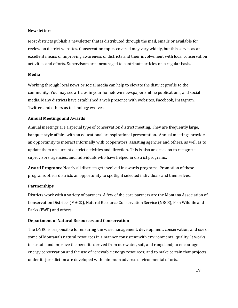#### **Newsletters**

Most districts publish a newsletter that is distributed through the mail, emails or available for review on district websites. Conservation topics covered may vary widely, but this serves as an excellent means of improving awareness of districts and their involvement with local conservation activities and efforts. Supervisors are encouraged to contribute articles on a regular basis.

#### **Media**

Working through local news or social media can help to elevate the district profile to the community. You may see articles in your hometown newspaper, online publications, and social media. Many districts have established a web presence with websites, Facebook, Instagram, Twitter, and others as technology evolves.

#### **Annual Meetings and Awards**

Annual meetings are a special type of conservation district meeting. They are frequently large, banquet-style affairs with an educational or inspirational presentation. Annual meetings provide an opportunity to interact informally with cooperators, assisting agencies and others, as well as to update them on current district activities and direction. This is also an occasion to recognize supervisors, agencies, and individuals who have helped in district programs.

**Award Programs:** Nearly all districts get involved in awards programs. Promotion of these programs offers districts an opportunity to spotlight selected individuals and themselves.

#### **Partnerships**

Districts work with a variety of partners. A few of the core partners are the Montana Association of Conservation Districts (MACD), Natural Resource Conservation Service (NRCS), Fish Wildlife and Parks (FWP) and others.

#### **Department of Natural Resources and Conservation**

The DNRC is responsible for ensuring the wise management, development, conservation, and use of some of Montana's natural resources in a manner consistent with environmental quality. It works to sustain and improve the benefits derived from our water, soil, and rangeland; to encourage energy conservation and the use of renewable energy resources; and to make certain that projects under its jurisdiction are developed with minimum adverse environmental efforts.